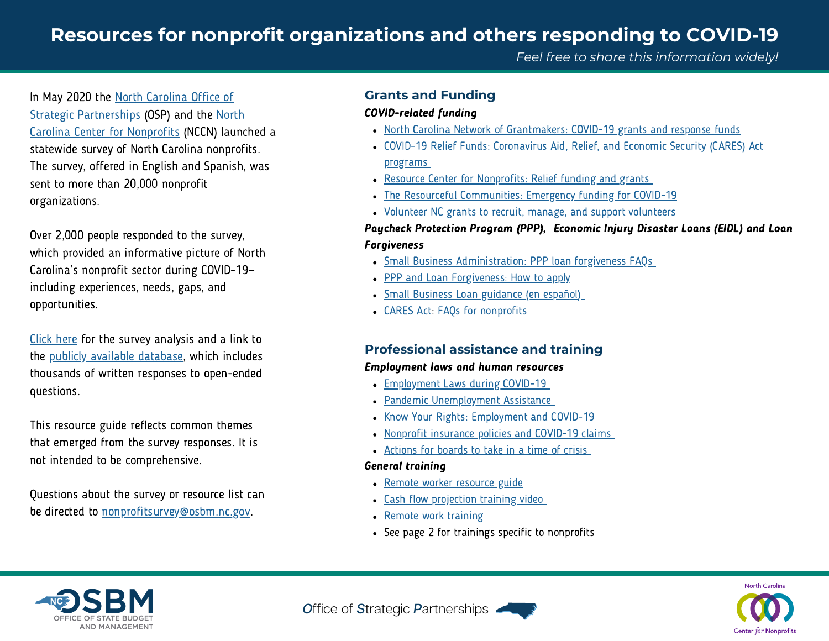# **Resources for nonprofit organizations and others responding to COVID-19**

In May 2020 the North [Carolina](https://www.osbm.nc.gov/operational-excellence/strategic-partnerships) Office of Strategic [Partnerships](https://www.osbm.nc.gov/operational-excellence/strategic-partnerships) (OSP) and the North Carolina Center for Nonprofits (NCCN) launched a statewide survey of North Carolina nonprofits. The survey, offered in English and Spanish, was sent to more than 20,000 nonprofit organizations.

Over 2,000 people responded to the survey, which provided an informative picture of North Carolina's nonprofit sector during COVID-19 including experiences, needs, gaps, and opportunities.

[Click](https://files.nc.gov/ncosbm/documents/files/NC-Nonprofits-COVID-Survey-Results-2020.pdf) here for the survey analysis and a link to the publicly available [database](https://airtable.com/shrt52gkz6TllNgbB/tblgSlQEqndmYHFXx/viw8wUOvnlnbiP7M1), which includes thousands of written responses to open-ended questions.

This resource guide reflects common themes that emerged from the survey responses. It is not intended to be comprehensive.

Questions about the survey or resource list can be directed to [nonprofitsurvey@osbm.nc.gov.](mailto: nonprofitsurvey@osbm.nc.gov)

### **Grants and Funding**

#### COVID-related funding

- North Carolina Network of [Grantmakers:](https://ncgrantmakers.org/COVID-19-Resources-3) COVID-19 grants and response funds
- COVID-19 Relief Funds: [Coronavirus](https://www.ncnonprofits.org/resources/pandemicresources#FinancialResources) Aid, Relief, and Economic Security (CARES) Act program[s](https://www.ncnonprofits.org/resources/pandemicresources#FinancialResources)
- Resource Center for [Nonprofits:](https://donorbox.org/nonprofit-blog/covid-19-resource-center/#step-2) Relief funding and grants
- The Resourceful [Communities:](https://docs.google.com/document/d/1RSl7NQwWjLssnyVdbMRaEWCYG-pX-ZP5P_5zmPqVOC8/edit?usp=sharing%22+%5C) Emergency funding for COVID-19
- Volunteer NC grants to recruit, manage, and support [volunteers](https://www.nc.gov/agencies/volunteer/americorps-grants)

### Paycheck Protection Program (PPP), Economic Injury Disaster Loans (EIDL) and Loan Forgiveness

- Small Business [Administration:](https://www.sba.gov/sites/default/files/2020-10/PPP%20--%20Loan%20Forgiveness%20FAQs%20%28October%2013%2C%202020%29-508.pdf) PPP loan forgiveness FAQs
- PPP and Loan [Forgiveness:](https://home.treasury.gov/system/files/136/PPP-Forgiveness-Factsheet-508.pdf) How to apply
- **Small Business Loan [guidance](https://www.sba.gov/page/coronavirus-covid-19-orientacion-y-recursos-de-prestamos-para-pequenas-empresas) (en español[\)](https://www.sba.gov/page/coronavirus-covid-19-orientacion-y-recursos-de-prestamos-para-pequenas-empresas)**
- [CARES](https://www.arnoldporter.com/en/perspectives/publications/2020/04/cares-act-faqs-nonprofit-organizations-donors) Ac[t:](https://www.arnoldporter.com/en/perspectives/publications/2020/04/cares-act-faqs-nonprofit-organizations-donors) FAQs for [nonprofits](https://www.arnoldporter.com/en/perspectives/publications/2020/04/cares-act-faqs-nonprofit-organizations-donors)

## **Professional assistance and training**

### Employment laws and human resources

- [Employment](https://www.ncemploymentattorneys.com/covid-19-employment-law-resources/) Laws during COVID-19
- Pandemic [Unemployment](https://des.nc.gov/need-help/covid-19-information/covid-19-information-individuals/pandemic-unemployment-assistance) Assistance
- Know Your Rights: [Employment](https://www.pisgahlegal.org/wp-content/uploads/2020/03/WRP_Know-Your-Rights-UI-COVID-2020-English.pdf) and COVID-1[9](https://www.pisgahlegal.org/wp-content/uploads/2020/03/WRP_Know-Your-Rights-UI-COVID-2020-English.pdf)
- Nonprofit [insurance](https://nonprofitrisk.org/resources/e-news/are-we-covered-your-nonprofits-insurance-policies-and-covid-19-claims/) policies and COVID-19 claims
- [Actions](https://www.propelnonprofits.org/resources/governing-in-a-time-of-crisis-10-action-items-for-boards/) for boards to take in a time of crisi[s](https://www.propelnonprofits.org/resources/governing-in-a-time-of-crisis-10-action-items-for-boards/)

## General training

- Remote worker [resource](https://www.highspeedinternet.net/remote-work-productivity-tools/) guide
- Cash flow [projection](https://nff.org/covid-19-tools-and-resources-nonprofits#tools) training vide[o](https://nff.org/covid-19-tools-and-resources-nonprofits#tools)
- Remote work [training](https://www.linkedin.com/learning/paths/remote-working-setting-yourself-and-your-teams-up-for-success)
- See page 2 for trainings specific to nonprofits